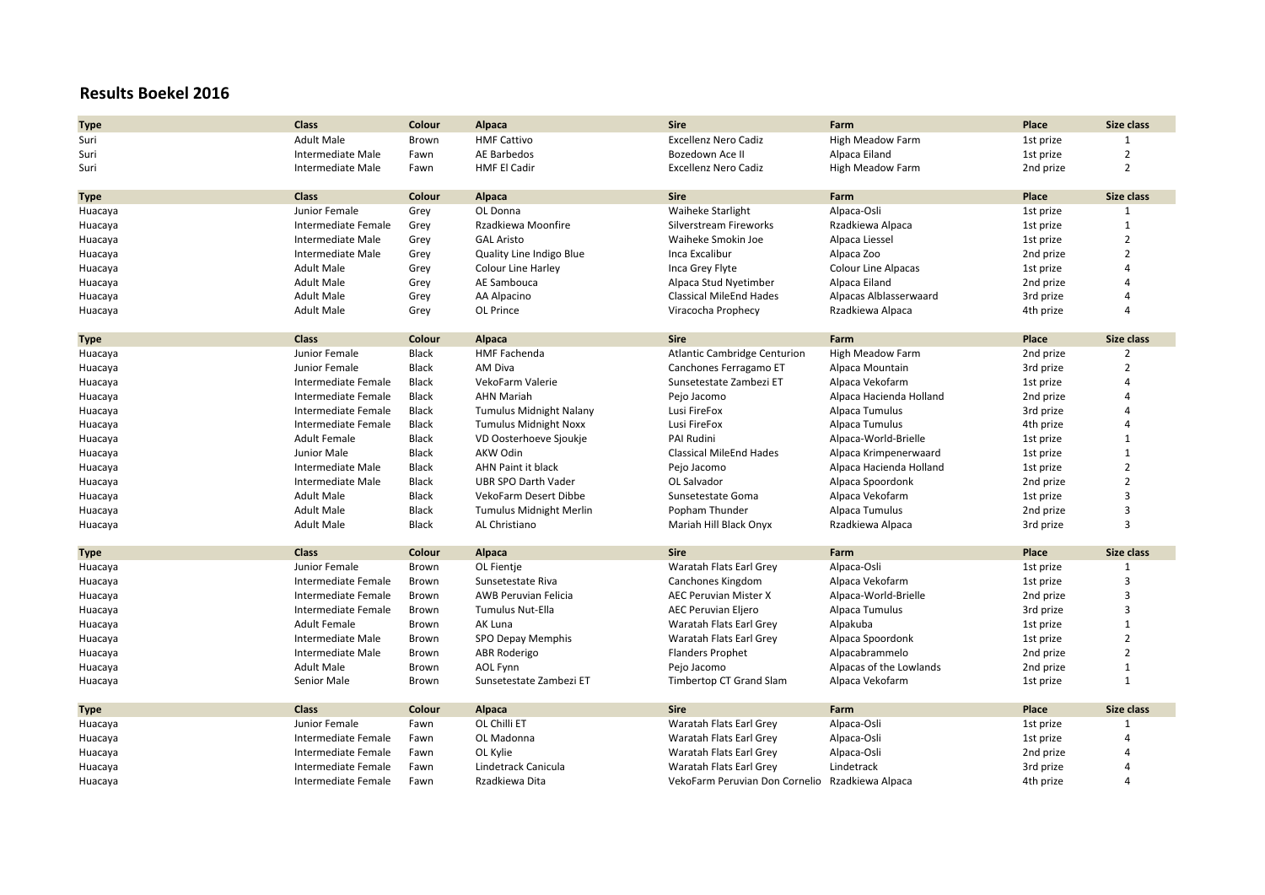## **Results Boekel 2016**

| <b>Type</b> | Class                    | Colour       | Alpaca                         | <b>Sire</b>                                     | Farm                       | Place     | <b>Size class</b> |
|-------------|--------------------------|--------------|--------------------------------|-------------------------------------------------|----------------------------|-----------|-------------------|
| Suri        | <b>Adult Male</b>        | Brown        | <b>HMF Cattivo</b>             | <b>Excellenz Nero Cadiz</b>                     | <b>High Meadow Farm</b>    | 1st prize | 1                 |
| Suri        | <b>Intermediate Male</b> | Fawn         | AE Barbedos                    | Bozedown Ace II                                 | Alpaca Eiland              | 1st prize | $\overline{2}$    |
| Suri        | Intermediate Male        | Fawn         | <b>HMF El Cadir</b>            | Excellenz Nero Cadiz                            | High Meadow Farm           | 2nd prize | $\overline{2}$    |
|             |                          |              |                                |                                                 |                            |           |                   |
| Type        | Class                    | Colour       | Alpaca                         | <b>Sire</b>                                     | Farm                       | Place     | Size class        |
| Huacaya     | Junior Female            | Grey         | OL Donna                       | <b>Waiheke Starlight</b>                        | Alpaca-Osli                | 1st prize | 1                 |
| Huacaya     | Intermediate Female      | Grey         | Rzadkiewa Moonfire             | Silverstream Fireworks                          | Rzadkiewa Alpaca           | 1st prize | $\mathbf{1}$      |
| Huacaya     | Intermediate Male        | Grey         | <b>GAL Aristo</b>              | Waiheke Smokin Joe                              | Alpaca Liessel             | 1st prize | $\overline{2}$    |
| Huacaya     | Intermediate Male        | Grey         | Quality Line Indigo Blue       | Inca Excalibur                                  | Alpaca Zoo                 | 2nd prize | $\overline{2}$    |
| Huacaya     | <b>Adult Male</b>        | Grey         | <b>Colour Line Harley</b>      | Inca Grey Flyte                                 | <b>Colour Line Alpacas</b> | 1st prize | 4                 |
| Huacaya     | <b>Adult Male</b>        | Grey         | AE Sambouca                    | Alpaca Stud Nyetimber                           | Alpaca Eiland              | 2nd prize | Δ                 |
| Huacaya     | <b>Adult Male</b>        | Grey         | AA Alpacino                    | <b>Classical MileEnd Hades</b>                  | Alpacas Alblasserwaard     | 3rd prize | 4                 |
| Huacaya     | <b>Adult Male</b>        | Grey         | OL Prince                      | Viracocha Prophecy                              | Rzadkiewa Alpaca           | 4th prize | 4                 |
|             |                          |              |                                |                                                 |                            |           |                   |
| <b>Type</b> | <b>Class</b>             | Colour       | Alpaca                         | <b>Sire</b>                                     | Farm                       | Place     | Size class        |
| Huacaya     | Junior Female            | <b>Black</b> | <b>HMF Fachenda</b>            | <b>Atlantic Cambridge Centurion</b>             | <b>High Meadow Farm</b>    | 2nd prize | $\overline{2}$    |
| Huacaya     | Junior Female            | <b>Black</b> | AM Diva                        | Canchones Ferragamo ET                          | Alpaca Mountain            | 3rd prize | $\overline{2}$    |
| Huacaya     | Intermediate Female      | <b>Black</b> | VekoFarm Valerie               | Sunsetestate Zambezi ET                         | Alpaca Vekofarm            | 1st prize | 4                 |
| Huacaya     | Intermediate Female      | <b>Black</b> | <b>AHN Mariah</b>              | Pejo Jacomo                                     | Alpaca Hacienda Holland    | 2nd prize | 4                 |
| Huacaya     | Intermediate Female      | <b>Black</b> | <b>Tumulus Midnight Nalany</b> | Lusi FireFox                                    | Alpaca Tumulus             | 3rd prize | 4                 |
| Huacaya     | Intermediate Female      | <b>Black</b> | <b>Tumulus Midnight Noxx</b>   | Lusi FireFox                                    | Alpaca Tumulus             | 4th prize | Δ                 |
| Huacaya     | <b>Adult Female</b>      | <b>Black</b> | VD Oosterhoeve Sjoukje         | PAI Rudini                                      | Alpaca-World-Brielle       | 1st prize | $\mathbf{1}$      |
| Huacaya     | Junior Male              | <b>Black</b> | <b>AKW Odin</b>                | <b>Classical MileEnd Hades</b>                  | Alpaca Krimpenerwaard      | 1st prize | $\mathbf{1}$      |
| Huacaya     | Intermediate Male        | <b>Black</b> | AHN Paint it black             | Pejo Jacomo                                     | Alpaca Hacienda Holland    | 1st prize | $\overline{2}$    |
| Huacaya     | Intermediate Male        | <b>Black</b> | <b>UBR SPO Darth Vader</b>     | OL Salvador                                     | Alpaca Spoordonk           | 2nd prize | $\overline{2}$    |
| Huacaya     | <b>Adult Male</b>        | <b>Black</b> | VekoFarm Desert Dibbe          | Sunsetestate Goma                               | Alpaca Vekofarm            | 1st prize | 3                 |
| Huacaya     | <b>Adult Male</b>        | <b>Black</b> | <b>Tumulus Midnight Merlin</b> | Popham Thunder                                  | Alpaca Tumulus             | 2nd prize | 3                 |
| Huacaya     | <b>Adult Male</b>        | <b>Black</b> | AL Christiano                  | Mariah Hill Black Onyx                          | Rzadkiewa Alpaca           | 3rd prize | 3                 |
|             | <b>Class</b>             | Colour       | Alpaca                         | <b>Sire</b>                                     | Farm                       | Place     | <b>Size class</b> |
| <b>Type</b> | Junior Female            | Brown        | OL Fientje                     | Waratah Flats Earl Grey                         | Alpaca-Osli                | 1st prize | $\mathbf{1}$      |
| Huacaya     | Intermediate Female      |              | Sunsetestate Riva              |                                                 | Alpaca Vekofarm            | 1st prize | $\overline{3}$    |
| Huacaya     |                          | Brown        |                                | Canchones Kingdom                               |                            |           | 3                 |
| Huacaya     | Intermediate Female      | Brown        | <b>AWB Peruvian Felicia</b>    | <b>AEC Peruvian Mister X</b>                    | Alpaca-World-Brielle       | 2nd prize | 3                 |
| Huacaya     | Intermediate Female      | Brown        | <b>Tumulus Nut-Ella</b>        | <b>AEC Peruvian Eljero</b>                      | Alpaca Tumulus             | 3rd prize |                   |
| Huacaya     | <b>Adult Female</b>      | <b>Brown</b> | AK Luna                        | Waratah Flats Earl Grey                         | Alpakuba                   | 1st prize | $\overline{1}$    |
| Huacaya     | Intermediate Male        | Brown        | SPO Depay Memphis              | Waratah Flats Earl Grey                         | Alpaca Spoordonk           | 1st prize | $\overline{2}$    |
| Huacaya     | Intermediate Male        | Brown        | <b>ABR Roderigo</b>            | <b>Flanders Prophet</b>                         | Alpacabrammelo             | 2nd prize | $\overline{2}$    |
| Huacaya     | <b>Adult Male</b>        | Brown        | <b>AOL Fynn</b>                | Pejo Jacomo                                     | Alpacas of the Lowlands    | 2nd prize | $\mathbf{1}$      |
| Huacaya     | Senior Male              | <b>Brown</b> | Sunsetestate Zambezi ET        | Timbertop CT Grand Slam                         | Alpaca Vekofarm            | 1st prize | $\mathbf{1}$      |
| <b>Type</b> | <b>Class</b>             | Colour       | Alpaca                         | <b>Sire</b>                                     | Farm                       | Place     | Size class        |
| Huacaya     | Junior Female            | Fawn         | OL Chilli ET                   | Waratah Flats Earl Grey                         | Alpaca-Osli                | 1st prize | 1                 |
| Huacaya     | Intermediate Female      | Fawn         | OL Madonna                     | Waratah Flats Earl Grey                         | Alpaca-Osli                | 1st prize | Δ                 |
| Huacaya     | Intermediate Female      | Fawn         | OL Kylie                       | Waratah Flats Earl Grey                         | Alpaca-Osli                | 2nd prize | Δ                 |
| Huacaya     | Intermediate Female      | Fawn         | Lindetrack Canicula            | Waratah Flats Earl Grey                         | Lindetrack                 | 3rd prize | 4                 |
| Huacaya     | Intermediate Female      | Fawn         | Rzadkiewa Dita                 | VekoFarm Peruvian Don Cornelio Rzadkiewa Alpaca |                            | 4th prize | 4                 |
|             |                          |              |                                |                                                 |                            |           |                   |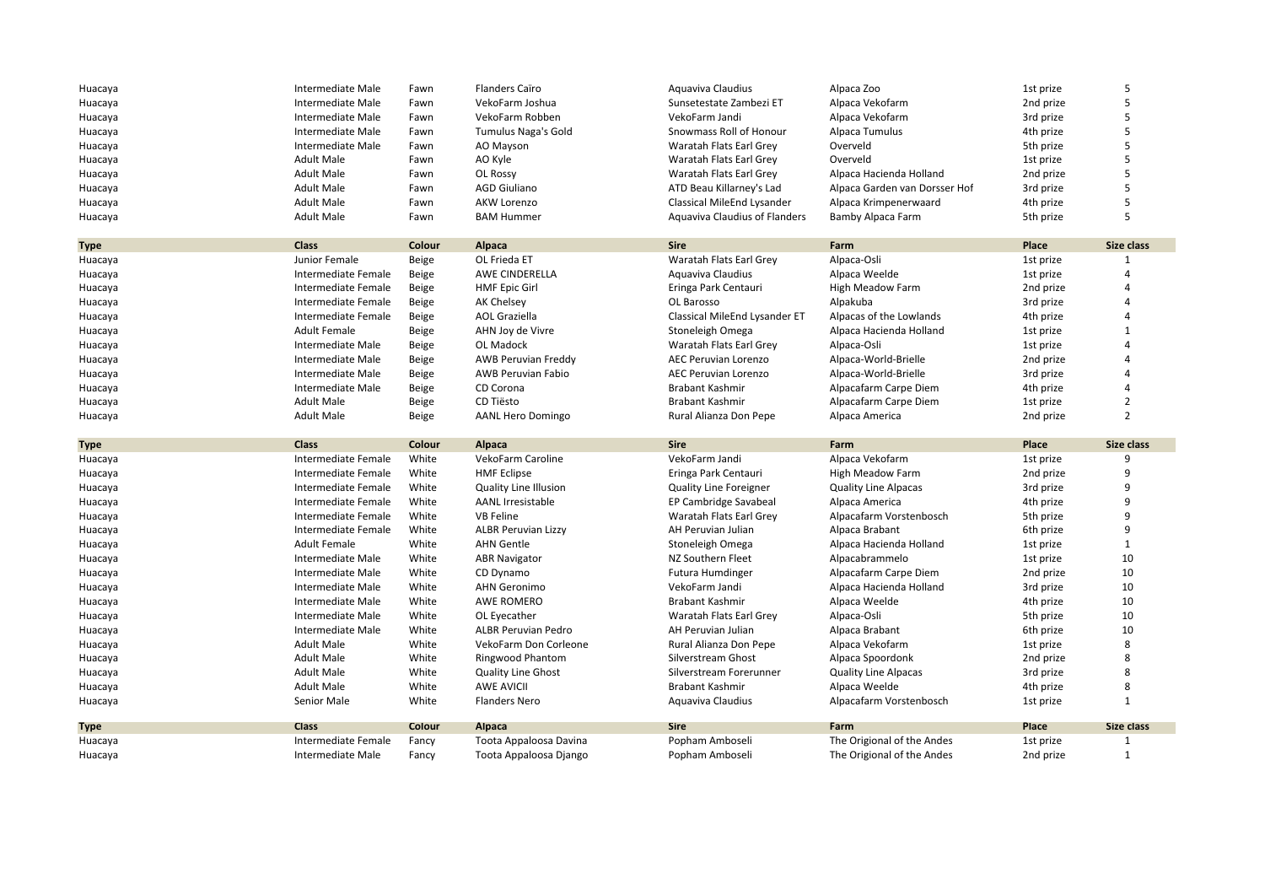| Huacaya     | Intermediate Male   | Fawn         | <b>Flanders Caïro</b>        | Aquaviva Claudius                    | Alpaca Zoo                    | 1st prize | 5              |
|-------------|---------------------|--------------|------------------------------|--------------------------------------|-------------------------------|-----------|----------------|
| Huacaya     | Intermediate Male   | Fawn         | VekoFarm Joshua              | Sunsetestate Zambezi ET              | Alpaca Vekofarm               | 2nd prize | 5              |
| Huacaya     | Intermediate Male   | Fawn         | VekoFarm Robben              | VekoFarm Jandi                       | Alpaca Vekofarm               | 3rd prize | 5              |
| Huacaya     | Intermediate Male   | Fawn         | Tumulus Naga's Gold          | Snowmass Roll of Honour              | Alpaca Tumulus                | 4th prize | 5              |
| Huacaya     | Intermediate Male   | Fawn         | AO Mayson                    | Waratah Flats Earl Grey              | Overveld                      | 5th prize | 5              |
| Huacaya     | <b>Adult Male</b>   | Fawn         | AO Kyle                      | Waratah Flats Earl Grey              | Overveld                      | 1st prize | 5              |
| Huacaya     | <b>Adult Male</b>   | Fawn         | OL Rossy                     | Waratah Flats Earl Grey              | Alpaca Hacienda Holland       | 2nd prize | 5              |
| Huacaya     | <b>Adult Male</b>   | Fawn         | <b>AGD Giuliano</b>          | ATD Beau Killarney's Lad             | Alpaca Garden van Dorsser Hof | 3rd prize | 5              |
|             | <b>Adult Male</b>   | Fawn         |                              |                                      |                               |           | 5              |
| Huacaya     |                     |              | <b>AKW Lorenzo</b>           | Classical MileEnd Lysander           | Alpaca Krimpenerwaard         | 4th prize |                |
| Huacaya     | <b>Adult Male</b>   | Fawn         | <b>BAM Hummer</b>            | <b>Aquaviva Claudius of Flanders</b> | <b>Bamby Alpaca Farm</b>      | 5th prize | 5              |
| <b>Type</b> | <b>Class</b>        | Colour       | Alpaca                       | <b>Sire</b>                          | Farm                          | Place     | Size class     |
| Huacaya     | Junior Female       | Beige        | OL Frieda ET                 | Waratah Flats Earl Grey              | Alpaca-Osli                   | 1st prize | 1              |
| Huacaya     | Intermediate Female | Beige        | AWE CINDERELLA               | Aguaviva Claudius                    | Alpaca Weelde                 | 1st prize | Δ              |
| Huacaya     | Intermediate Female | Beige        | <b>HMF Epic Girl</b>         | Eringa Park Centauri                 | <b>High Meadow Farm</b>       | 2nd prize |                |
| Huacaya     | Intermediate Female | Beige        | <b>AK Chelsey</b>            | OL Barosso                           | Alpakuba                      | 3rd prize | Δ              |
| Huacaya     | Intermediate Female | Beige        | <b>AOL Graziella</b>         | Classical MileEnd Lysander ET        | Alpacas of the Lowlands       | 4th prize | 4              |
| Huacaya     | <b>Adult Female</b> | Beige        | AHN Joy de Vivre             | Stoneleigh Omega                     | Alpaca Hacienda Holland       | 1st prize | $\mathbf{1}$   |
| Huacaya     | Intermediate Male   | Beige        | OL Madock                    | Waratah Flats Earl Grey              | Alpaca-Osli                   | 1st prize | 4              |
| Huacaya     | Intermediate Male   | Beige        | <b>AWB Peruvian Freddy</b>   | <b>AEC Peruvian Lorenzo</b>          | Alpaca-World-Brielle          | 2nd prize | Δ              |
| Huacaya     | Intermediate Male   | Beige        | <b>AWB Peruvian Fabio</b>    | <b>AEC Peruvian Lorenzo</b>          | Alpaca-World-Brielle          | 3rd prize | $\Delta$       |
| Huacaya     | Intermediate Male   | <b>Beige</b> | CD Corona                    | <b>Brabant Kashmir</b>               | Alpacafarm Carpe Diem         | 4th prize | 4              |
| Huacaya     | <b>Adult Male</b>   | Beige        | CD Tiësto                    | <b>Brabant Kashmir</b>               | Alpacafarm Carpe Diem         | 1st prize | $\overline{2}$ |
| Huacaya     | <b>Adult Male</b>   |              |                              | Rural Alianza Don Pepe               | Alpaca America                | 2nd prize | $\mathfrak{p}$ |
|             |                     | Beige        | <b>AANL Hero Domingo</b>     |                                      |                               |           |                |
|             |                     |              |                              |                                      |                               |           |                |
| <b>Type</b> | <b>Class</b>        | Colour       | Alpaca                       | <b>Sire</b>                          | Farm                          | Place     | Size class     |
| Huacaya     | Intermediate Female | White        | VekoFarm Caroline            | VekoFarm Jandi                       | Alpaca Vekofarm               | 1st prize | 9              |
| Huacaya     | Intermediate Female | White        | <b>HMF Eclipse</b>           | Eringa Park Centauri                 | <b>High Meadow Farm</b>       | 2nd prize | 9              |
| Huacaya     | Intermediate Female | White        | <b>Quality Line Illusion</b> | <b>Quality Line Foreigner</b>        | <b>Quality Line Alpacas</b>   | 3rd prize | 9              |
| Huacaya     | Intermediate Female | White        | <b>AANL Irresistable</b>     | EP Cambridge Savabeal                | Alpaca America                | 4th prize | 9              |
| Huacaya     | Intermediate Female | White        | <b>VB Feline</b>             | Waratah Flats Earl Grey              | Alpacafarm Vorstenbosch       | 5th prize | 9              |
| Huacaya     | Intermediate Female | White        | <b>ALBR Peruvian Lizzy</b>   | AH Peruvian Julian                   | Alpaca Brabant                | 6th prize | 9              |
| Huacaya     | <b>Adult Female</b> | White        | <b>AHN Gentle</b>            | Stoneleigh Omega                     | Alpaca Hacienda Holland       | 1st prize | $\mathbf{1}$   |
| Huacaya     | Intermediate Male   | White        | <b>ABR Navigator</b>         | NZ Southern Fleet                    | Alpacabrammelo                | 1st prize | 10             |
| Huacaya     | Intermediate Male   | White        | CD Dynamo                    |                                      | Alpacafarm Carpe Diem         | 2nd prize | 10             |
|             | Intermediate Male   | White        | <b>AHN Geronimo</b>          | Futura Humdinger<br>VekoFarm Jandi   |                               |           |                |
| Huacaya     | Intermediate Male   | White        |                              |                                      | Alpaca Hacienda Holland       | 3rd prize | 10<br>10       |
| Huacaya     |                     |              | AWE ROMERO                   | Brabant Kashmir                      | Alpaca Weelde                 | 4th prize |                |
| Huacaya     | Intermediate Male   | White        | OL Eyecather                 | Waratah Flats Earl Grey              | Alpaca-Osli                   | 5th prize | 10             |
| Huacaya     | Intermediate Male   | White        | <b>ALBR Peruvian Pedro</b>   | AH Peruvian Julian                   | Alpaca Brabant                | 6th prize | 10             |
| Huacaya     | <b>Adult Male</b>   | White        | VekoFarm Don Corleone        | Rural Alianza Don Pepe               | Alpaca Vekofarm               | 1st prize | 8              |
| Huacaya     | <b>Adult Male</b>   | White        | <b>Ringwood Phantom</b>      | Silverstream Ghost                   | Alpaca Spoordonk              | 2nd prize | 8              |
| Huacaya     | <b>Adult Male</b>   | White        | Quality Line Ghost           | Silverstream Forerunner              | <b>Quality Line Alpacas</b>   | 3rd prize | 8              |
| Huacaya     | <b>Adult Male</b>   | White        | <b>AWE AVICII</b>            | <b>Brabant Kashmir</b>               | Alpaca Weelde                 | 4th prize | 8              |
| Huacaya     | Senior Male         | White        | <b>Flanders Nero</b>         | Aquaviva Claudius                    | Alpacafarm Vorstenbosch       | 1st prize | $\mathbf{1}$   |
| <b>Type</b> | <b>Class</b>        | Colour       | <b>Alpaca</b>                | <b>Sire</b>                          | Farm                          | Place     | Size class     |
| Huacaya     | Intermediate Female | Fancy        | Toota Appaloosa Davina       | Popham Amboseli                      | The Origional of the Andes    | 1st prize | 1              |